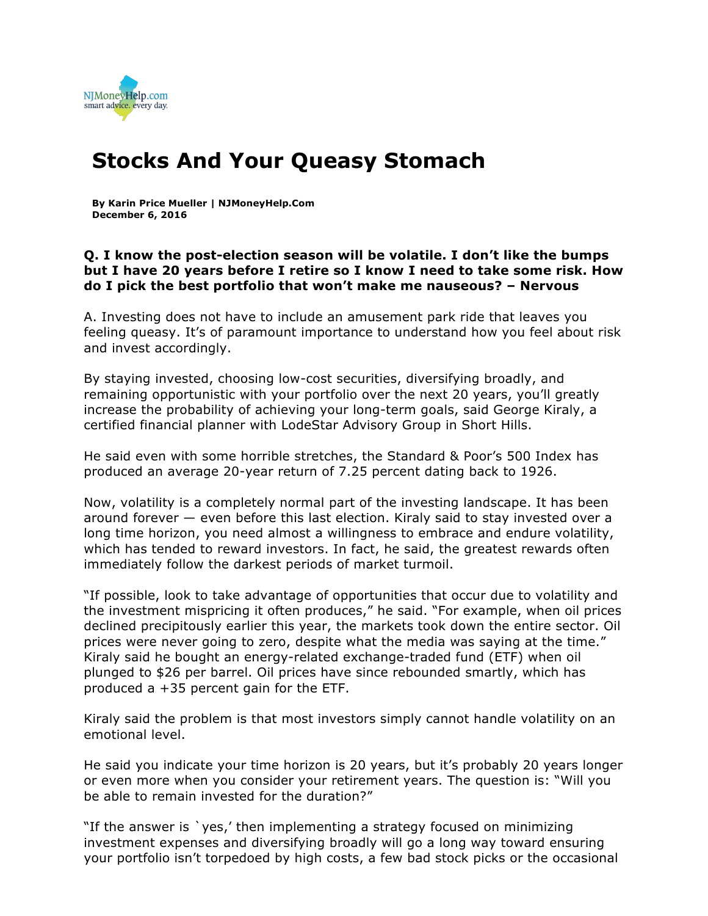

## **Stocks And Your Queasy Stomach**

**By Karin Price Mueller | NJMoneyHelp.Com December 6, 2016**

## **Q. I know the post-election season will be volatile. I don't like the bumps but I have 20 years before I retire so I know I need to take some risk. How do I pick the best portfolio that won't make me nauseous? – Nervous**

A. Investing does not have to include an amusement park ride that leaves you feeling queasy. It's of paramount importance to understand how you feel about risk and invest accordingly.

By staying invested, choosing low-cost securities, diversifying broadly, and remaining opportunistic with your portfolio over the next 20 years, you'll greatly increase the probability of achieving your long-term goals, said George Kiraly, a certified financial planner with LodeStar Advisory Group in Short Hills.

He said even with some horrible stretches, the Standard & Poor's 500 Index has produced an average 20-year return of 7.25 percent dating back to 1926.

Now, volatility is a completely normal part of the investing landscape. It has been around forever — even before this last election. Kiraly said to stay invested over a long time horizon, you need almost a willingness to embrace and endure volatility, which has tended to reward investors. In fact, he said, the greatest rewards often immediately follow the darkest periods of market turmoil.

"If possible, look to take advantage of opportunities that occur due to volatility and the investment mispricing it often produces," he said. "For example, when oil prices declined precipitously earlier this year, the markets took down the entire sector. Oil prices were never going to zero, despite what the media was saying at the time." Kiraly said he bought an energy-related exchange-traded fund (ETF) when oil plunged to \$26 per barrel. Oil prices have since rebounded smartly, which has produced a +35 percent gain for the ETF.

Kiraly said the problem is that most investors simply cannot handle volatility on an emotional level.

He said you indicate your time horizon is 20 years, but it's probably 20 years longer or even more when you consider your retirement years. The question is: "Will you be able to remain invested for the duration?"

"If the answer is `yes,' then implementing a strategy focused on minimizing investment expenses and diversifying broadly will go a long way toward ensuring your portfolio isn't torpedoed by high costs, a few bad stock picks or the occasional